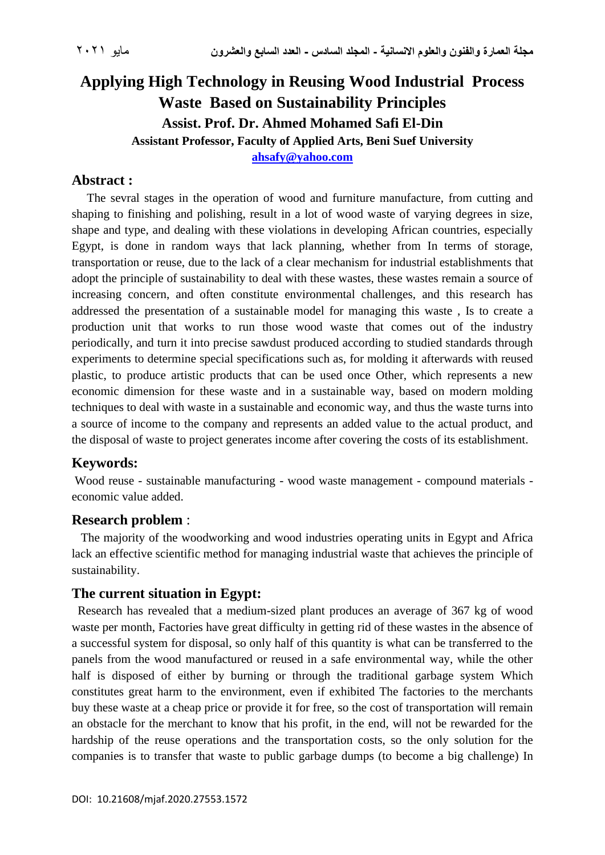# **Applying High Technology in Reusing Wood Industrial Process Waste Based on Sustainability Principles Assist. Prof. Dr. Ahmed Mohamed Safi El-Din Assistant Professor, Faculty of Applied Arts, Beni Suef University [ahsafy@yahoo.com](mailto:ahsafy@yahoo.com)**

### **Abstract :**

 The sevral stages in the operation of wood and furniture manufacture, from cutting and shaping to finishing and polishing, result in a lot of wood waste of varying degrees in size, shape and type, and dealing with these violations in developing African countries, especially Egypt, is done in random ways that lack planning, whether from In terms of storage, transportation or reuse, due to the lack of a clear mechanism for industrial establishments that adopt the principle of sustainability to deal with these wastes, these wastes remain a source of increasing concern, and often constitute environmental challenges, and this research has addressed the presentation of a sustainable model for managing this waste , Is to create a production unit that works to run those wood waste that comes out of the industry periodically, and turn it into precise sawdust produced according to studied standards through experiments to determine special specifications such as, for molding it afterwards with reused plastic, to produce artistic products that can be used once Other, which represents a new economic dimension for these waste and in a sustainable way, based on modern molding techniques to deal with waste in a sustainable and economic way, and thus the waste turns into a source of income to the company and represents an added value to the actual product, and the disposal of waste to project generates income after covering the costs of its establishment.

## **Keywords:**

Wood reuse - sustainable manufacturing - wood waste management - compound materials economic value added.

#### **Research problem** :

 The majority of the woodworking and wood industries operating units in Egypt and Africa lack an effective scientific method for managing industrial waste that achieves the principle of sustainability.

## **The current situation in Egypt:**

 Research has revealed that a medium-sized plant produces an average of 367 kg of wood waste per month, Factories have great difficulty in getting rid of these wastes in the absence of a successful system for disposal, so only half of this quantity is what can be transferred to the panels from the wood manufactured or reused in a safe environmental way, while the other half is disposed of either by burning or through the traditional garbage system Which constitutes great harm to the environment, even if exhibited The factories to the merchants buy these waste at a cheap price or provide it for free, so the cost of transportation will remain an obstacle for the merchant to know that his profit, in the end, will not be rewarded for the hardship of the reuse operations and the transportation costs, so the only solution for the companies is to transfer that waste to public garbage dumps (to become a big challenge) In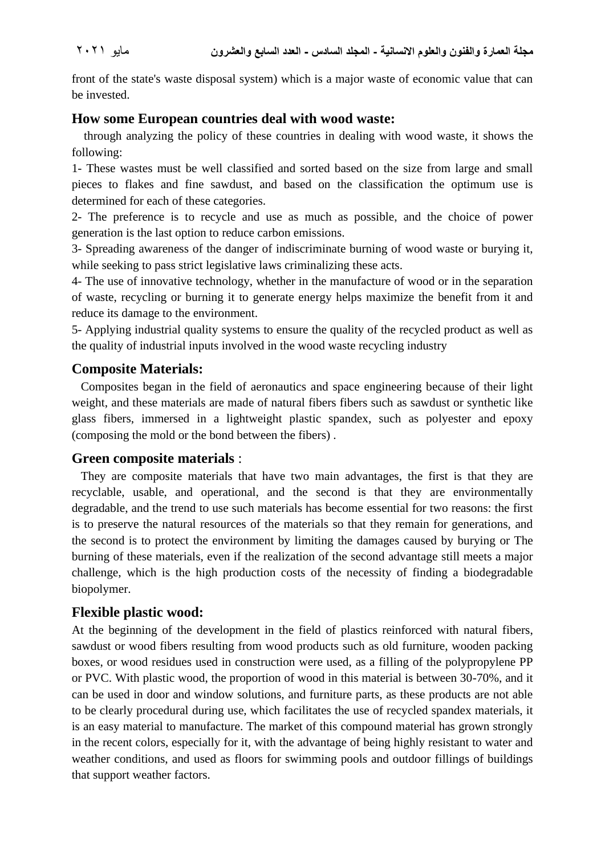front of the state's waste disposal system) which is a major waste of economic value that can be invested.

#### **How some European countries deal with wood waste:**

 through analyzing the policy of these countries in dealing with wood waste, it shows the following:

1- These wastes must be well classified and sorted based on the size from large and small pieces to flakes and fine sawdust, and based on the classification the optimum use is determined for each of these categories.

2- The preference is to recycle and use as much as possible, and the choice of power generation is the last option to reduce carbon emissions.

3- Spreading awareness of the danger of indiscriminate burning of wood waste or burying it, while seeking to pass strict legislative laws criminalizing these acts.

4- The use of innovative technology, whether in the manufacture of wood or in the separation of waste, recycling or burning it to generate energy helps maximize the benefit from it and reduce its damage to the environment.

5- Applying industrial quality systems to ensure the quality of the recycled product as well as the quality of industrial inputs involved in the wood waste recycling industry

### **Composite Materials:**

 Composites began in the field of aeronautics and space engineering because of their light weight, and these materials are made of natural fibers fibers such as sawdust or synthetic like glass fibers, immersed in a lightweight plastic spandex, such as polyester and epoxy (composing the mold or the bond between the fibers) .

#### **Green composite materials** :

 They are composite materials that have two main advantages, the first is that they are recyclable, usable, and operational, and the second is that they are environmentally degradable, and the trend to use such materials has become essential for two reasons: the first is to preserve the natural resources of the materials so that they remain for generations, and the second is to protect the environment by limiting the damages caused by burying or The burning of these materials, even if the realization of the second advantage still meets a major challenge, which is the high production costs of the necessity of finding a biodegradable biopolymer.

## **Flexible plastic wood:**

At the beginning of the development in the field of plastics reinforced with natural fibers, sawdust or wood fibers resulting from wood products such as old furniture, wooden packing boxes, or wood residues used in construction were used, as a filling of the polypropylene PP or PVC. With plastic wood, the proportion of wood in this material is between 30-70%, and it can be used in door and window solutions, and furniture parts, as these products are not able to be clearly procedural during use, which facilitates the use of recycled spandex materials, it is an easy material to manufacture. The market of this compound material has grown strongly in the recent colors, especially for it, with the advantage of being highly resistant to water and weather conditions, and used as floors for swimming pools and outdoor fillings of buildings that support weather factors.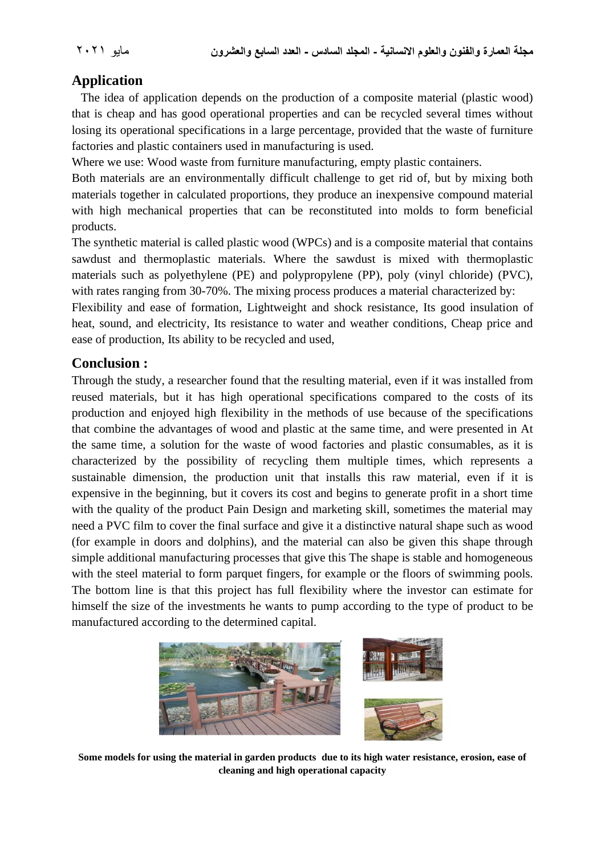# **Application**

 The idea of application depends on the production of a composite material (plastic wood) that is cheap and has good operational properties and can be recycled several times without losing its operational specifications in a large percentage, provided that the waste of furniture factories and plastic containers used in manufacturing is used.

Where we use: Wood waste from furniture manufacturing, empty plastic containers.

Both materials are an environmentally difficult challenge to get rid of, but by mixing both materials together in calculated proportions, they produce an inexpensive compound material with high mechanical properties that can be reconstituted into molds to form beneficial products.

The synthetic material is called plastic wood (WPCs) and is a composite material that contains sawdust and thermoplastic materials. Where the sawdust is mixed with thermoplastic materials such as polyethylene (PE) and polypropylene (PP), poly (vinyl chloride) (PVC), with rates ranging from 30-70%. The mixing process produces a material characterized by:

Flexibility and ease of formation, Lightweight and shock resistance, Its good insulation of heat, sound, and electricity, Its resistance to water and weather conditions, Cheap price and ease of production, Its ability to be recycled and used,

## **Conclusion :**

Through the study, a researcher found that the resulting material, even if it was installed from reused materials, but it has high operational specifications compared to the costs of its production and enjoyed high flexibility in the methods of use because of the specifications that combine the advantages of wood and plastic at the same time, and were presented in At the same time, a solution for the waste of wood factories and plastic consumables, as it is characterized by the possibility of recycling them multiple times, which represents a sustainable dimension, the production unit that installs this raw material, even if it is expensive in the beginning, but it covers its cost and begins to generate profit in a short time with the quality of the product Pain Design and marketing skill, sometimes the material may need a PVC film to cover the final surface and give it a distinctive natural shape such as wood (for example in doors and dolphins), and the material can also be given this shape through simple additional manufacturing processes that give this The shape is stable and homogeneous with the steel material to form parquet fingers, for example or the floors of swimming pools. The bottom line is that this project has full flexibility where the investor can estimate for himself the size of the investments he wants to pump according to the type of product to be manufactured according to the determined capital.



**Some models for using the material in garden products due to its high water resistance, erosion, ease of cleaning and high operational capacity**